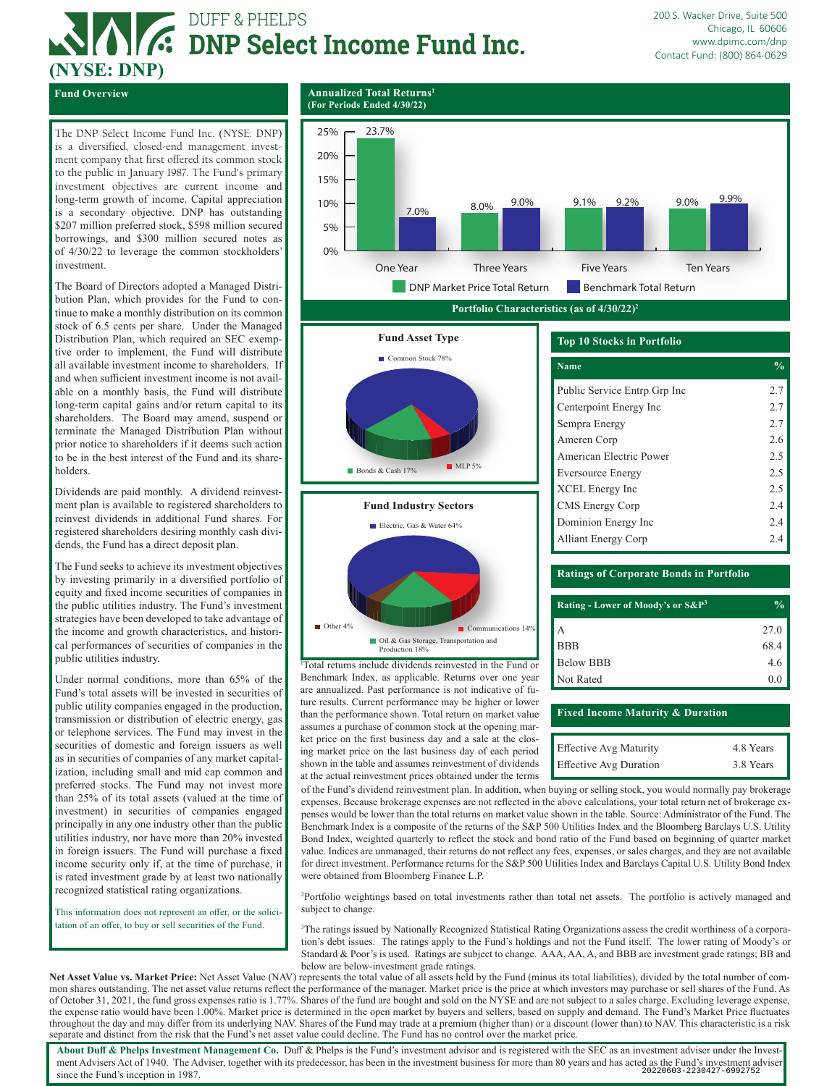# **AVE:** DUFF & PHELPS<br> **AVE:** DNP Select Income Fund Inc.

**(For Periods Ended 4/30/22)**

200 S. Wacker Drive, Suite 500 Chicago, IL 60606 www.dpimc.com/dnp Contact Fund: (800) 864-0629

**(NYSE: DNP) Fund Overview Annualized Total Returns<sup>1</sup>** 

The DNP Select Income Fund Inc. (NYSE: DNP) is a diversified, closed-end management investment company that first offered its common stock to the public in January 1987. The Fund's primary investment objectives are current income and long-term growth of income. Capital appreciation is a secondary objective. DNP has outstanding \$207 million preferred stock, \$598 million secured borrowings, and \$300 million secured notes as of 4/30/22 to leverage the common stockholders' investment.

The Board of Directors adopted a Managed Distribution Plan, which provides for the Fund to continue to make a monthly distribution on its common stock of 6.5 cents per share. Under the Managed Distribution Plan, which required an SEC exemptive order to implement, the Fund will distribute all available investment income to shareholders. If and when sufficient investment income is not available on a monthly basis, the Fund will distribute long-term capital gains and/or return capital to its shareholders. The Board may amend, suspend or terminate the Managed Distribution Plan without prior notice to shareholders if it deems such action to be in the best interest of the Fund and its shareholders.

Dividends are paid monthly. A dividend reinvestment plan is available to registered shareholders to reinvest dividends in additional Fund shares. For registered shareholders desiring monthly cash dividends, the Fund has a direct deposit plan.

The Fund seeks to achieve its investment objectives by investing primarily in a diversified portfolio of equity and fixed income securities of companies in the public utilities industry. The Fund's investment strategies have been developed to take advantage of the income and growth characteristics, and historical performances of securities of companies in the public utilities industry.

Under normal conditions, more than 65% of the Fund's total assets will be invested in securities of public utility companies engaged in the production, transmission or distribution of electric energy, gas or telephone services. The Fund may invest in the securities of domestic and foreign issuers as well as in securities of companies of any market capitalization, including small and mid cap common and preferred stocks. The Fund may not invest more than 25% of its total assets (valued at the time of investment) in securities of companies engaged principally in any one industry other than the public utilities industry, nor have more than 20% invested in foreign issuers. The Fund will purchase a fixed income security only if, at the time of purchase, it is rated investment grade by at least two nationally recognized statistical rating organizations.

This information does not represent an offer, or the solicitation of an offer, to buy or sell securities of the Fund.



Communications 14%

Oil & Gas Storage, Transportation and

1 Total returns include dividends reinvested in the Fund or Benchmark Index, as applicable. Returns over one year are annualized. Past performance is not indicative of future results. Current performance may be higher or lower than the performance shown. Total return on market value assumes a purchase of common stock at the opening market price on the first business day and a sale at the closing market price on the last business day of each period shown in the table and assumes reinvestment of dividends at the actual reinvestment prices obtained under the terms

Production 18%

 $\blacksquare$  Other 4%

### **Ratings of Corporate Bonds in Portfolio**

| Rating - Lower of Moody's or S&P <sup>3</sup> | $\frac{6}{10}$ |
|-----------------------------------------------|----------------|
| А                                             | 27.0           |
| <b>BBB</b>                                    | 68.4           |
| <b>Below BBB</b>                              | 4.6            |
| Not Rated                                     | 0.0            |

### **Fixed Income Maturity & Duration**

| <b>Effective Avg Maturity</b> | 4.8 Years |
|-------------------------------|-----------|
| <b>Effective Avg Duration</b> | 3.8 Years |

of the Fund's dividend reinvestment plan. In addition, when buying or selling stock, you would normally pay brokerage expenses. Because brokerage expenses are not reflected in the above calculations, your total return net of brokerage expenses would be lower than the total returns on market value shown in the table. Source: Administrator of the Fund. The Benchmark Index is a composite of the returns of the S&P 500 Utilities Index and the Bloomberg Barclays U.S. Utility Bond Index, weighted quarterly to reflect the stock and bond ratio of the Fund based on beginning of quarter market value. Indices are unmanaged, their returns do not reflect any fees, expenses, or sales charges, and they are not available for direct investment. Performance returns for the S&P 500 Utilities Index and Barclays Capital U.S. Utility Bond Index were obtained from Bloomberg Finance L.P.

2 Portfolio weightings based on total investments rather than total net assets. The portfolio is actively managed and subject to change.

3 The ratings issued by Nationally Recognized Statistical Rating Organizations assess the credit worthiness of a corporation's debt issues. The ratings apply to the Fund's holdings and not the Fund itself. The lower rating of Moody's or Standard & Poor's is used. Ratings are subject to change. AAA, AA, A, and BBB are investment grade ratings; BB and below are below-investment grade ratings.

**Net Asset Value vs. Market Price:** Net Asset Value (NAV) represents the total value of all assets held by the Fund (minus its total liabilities), divided by the total number of common shares outstanding. The net asset value returns reflect the performance of the manager. Market price is the price at which investors may purchase or sell shares of the Fund. As of October 31, 2021, the fund gross expenses ratio is 1.77%. Shares of the fund are bought and sold on the NYSE and are not subject to a sales charge. Excluding leverage expense, the expense ratio would have been 1.00%. Market price is determined in the open market by buyers and sellers, based on supply and demand. The Fund's Market Price fluctuates throughout the day and may differ from its underlying NAV. Shares of the Fund may trade at a premium (higher than) or a discount (lower than) to NAV. This characteristic is a risk separate and distinct from the risk that the Fund's net asset value could decline. The Fund has no control over the market price.

About Duff & Phelps Investment Management Co. Duff & Phelps is the Fund's investment advisor and is registered with the SEC as an investment adviser under the Investment Advisers Act of 1940. The Adviser, together with its predecessor, has been in the investment business for more than 80 years and has acted as the Fund's investment adviser and the Fund's investment adviser and the Fun